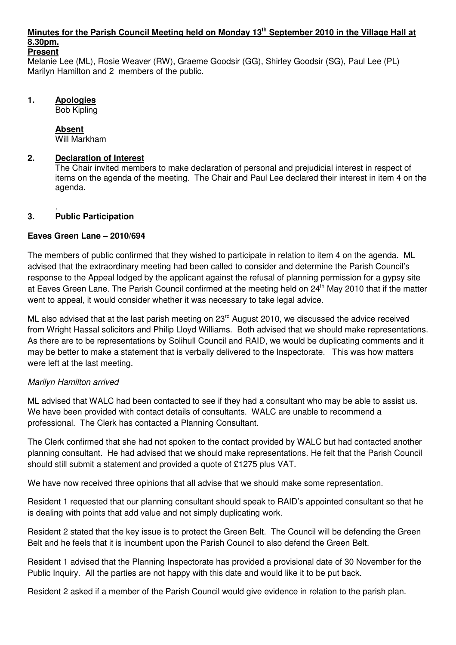#### **Minutes for the Parish Council Meeting held on Monday 13th September 2010 in the Village Hall at 8.30pm. Present**

Melanie Lee (ML), Rosie Weaver (RW), Graeme Goodsir (GG), Shirley Goodsir (SG), Paul Lee (PL) Marilyn Hamilton and 2 members of the public.

## **1. Apologies**

Bob Kipling

# **Absent**

Will Markham

# **2. Declaration of Interest**

The Chair invited members to make declaration of personal and prejudicial interest in respect of items on the agenda of the meeting. The Chair and Paul Lee declared their interest in item 4 on the agenda.

#### . **3. Public Participation**

# **Eaves Green Lane – 2010/694**

The members of public confirmed that they wished to participate in relation to item 4 on the agenda. ML advised that the extraordinary meeting had been called to consider and determine the Parish Council's response to the Appeal lodged by the applicant against the refusal of planning permission for a gypsy site at Eaves Green Lane. The Parish Council confirmed at the meeting held on 24<sup>th</sup> May 2010 that if the matter went to appeal, it would consider whether it was necessary to take legal advice.

ML also advised that at the last parish meeting on 23<sup>rd</sup> August 2010, we discussed the advice received from Wright Hassal solicitors and Philip Lloyd Williams. Both advised that we should make representations. As there are to be representations by Solihull Council and RAID, we would be duplicating comments and it may be better to make a statement that is verbally delivered to the Inspectorate. This was how matters were left at the last meeting.

### Marilyn Hamilton arrived

ML advised that WALC had been contacted to see if they had a consultant who may be able to assist us. We have been provided with contact details of consultants. WALC are unable to recommend a professional. The Clerk has contacted a Planning Consultant.

The Clerk confirmed that she had not spoken to the contact provided by WALC but had contacted another planning consultant. He had advised that we should make representations. He felt that the Parish Council should still submit a statement and provided a quote of £1275 plus VAT.

We have now received three opinions that all advise that we should make some representation.

Resident 1 requested that our planning consultant should speak to RAID's appointed consultant so that he is dealing with points that add value and not simply duplicating work.

Resident 2 stated that the key issue is to protect the Green Belt. The Council will be defending the Green Belt and he feels that it is incumbent upon the Parish Council to also defend the Green Belt.

Resident 1 advised that the Planning Inspectorate has provided a provisional date of 30 November for the Public Inquiry. All the parties are not happy with this date and would like it to be put back.

Resident 2 asked if a member of the Parish Council would give evidence in relation to the parish plan.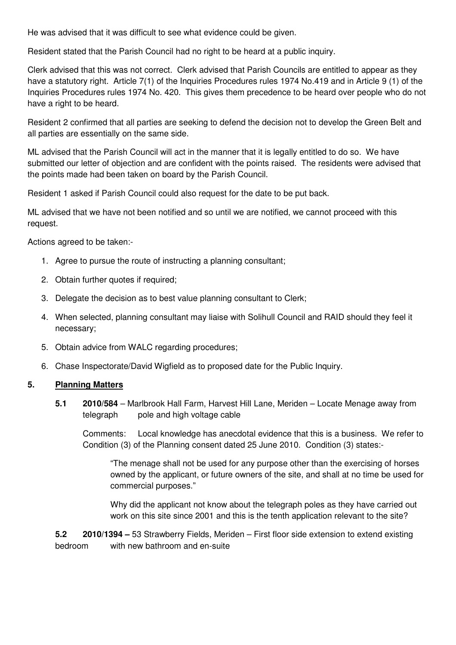He was advised that it was difficult to see what evidence could be given.

Resident stated that the Parish Council had no right to be heard at a public inquiry.

Clerk advised that this was not correct. Clerk advised that Parish Councils are entitled to appear as they have a statutory right. Article 7(1) of the Inquiries Procedures rules 1974 No.419 and in Article 9 (1) of the Inquiries Procedures rules 1974 No. 420. This gives them precedence to be heard over people who do not have a right to be heard.

Resident 2 confirmed that all parties are seeking to defend the decision not to develop the Green Belt and all parties are essentially on the same side.

ML advised that the Parish Council will act in the manner that it is legally entitled to do so. We have submitted our letter of objection and are confident with the points raised. The residents were advised that the points made had been taken on board by the Parish Council.

Resident 1 asked if Parish Council could also request for the date to be put back.

ML advised that we have not been notified and so until we are notified, we cannot proceed with this request.

Actions agreed to be taken:-

- 1. Agree to pursue the route of instructing a planning consultant;
- 2. Obtain further quotes if required;
- 3. Delegate the decision as to best value planning consultant to Clerk;
- 4. When selected, planning consultant may liaise with Solihull Council and RAID should they feel it necessary;
- 5. Obtain advice from WALC regarding procedures;
- 6. Chase Inspectorate/David Wigfield as to proposed date for the Public Inquiry.

### **5. Planning Matters**

**5.1 2010/584** – Marlbrook Hall Farm, Harvest Hill Lane, Meriden – Locate Menage away from telegraph pole and high voltage cable

 Comments: Local knowledge has anecdotal evidence that this is a business. We refer to Condition (3) of the Planning consent dated 25 June 2010. Condition (3) states:-

"The menage shall not be used for any purpose other than the exercising of horses owned by the applicant, or future owners of the site, and shall at no time be used for commercial purposes."

Why did the applicant not know about the telegraph poles as they have carried out work on this site since 2001 and this is the tenth application relevant to the site?

**5.2 2010/1394 –** 53 Strawberry Fields, Meriden – First floor side extension to extend existing bedroom with new bathroom and en-suite